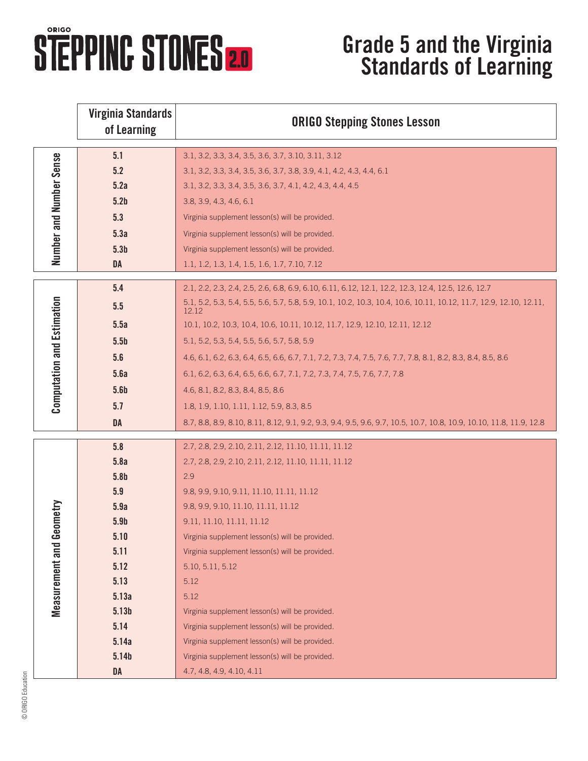## **STEPPINC STONES 20**

## **Grade 5 and the Virginia Standards of Learning**

|                                     | <b>Virginia Standards</b><br>of Learning | <b>ORIGO Stepping Stones Lesson</b>                                                                                         |
|-------------------------------------|------------------------------------------|-----------------------------------------------------------------------------------------------------------------------------|
| Number and Number Sense             | 5.1                                      | 3.1, 3.2, 3.3, 3.4, 3.5, 3.6, 3.7, 3.10, 3.11, 3.12                                                                         |
|                                     | 5.2                                      | 3.1, 3.2, 3.3, 3.4, 3.5, 3.6, 3.7, 3.8, 3.9, 4.1, 4.2, 4.3, 4.4, 6.1                                                        |
|                                     | 5.2a                                     | 3.1, 3.2, 3.3, 3.4, 3.5, 3.6, 3.7, 4.1, 4.2, 4.3, 4.4, 4.5                                                                  |
|                                     | 5.2 <sub>b</sub>                         | 3.8, 3.9, 4.3, 4.6, 6.1                                                                                                     |
|                                     | 5.3                                      | Virginia supplement lesson(s) will be provided.                                                                             |
|                                     | 5.3a                                     | Virginia supplement lesson(s) will be provided.                                                                             |
|                                     | 5.3 <sub>b</sub>                         | Virginia supplement lesson(s) will be provided.                                                                             |
|                                     | <b>DA</b>                                | 1.1, 1.2, 1.3, 1.4, 1.5, 1.6, 1.7, 7.10, 7.12                                                                               |
| <b>Computation and Estimation</b>   | 5.4                                      | 2.1, 2.2, 2.3, 2.4, 2.5, 2.6, 6.8, 6.9, 6.10, 6.11, 6.12, 12.1, 12.2, 12.3, 12.4, 12.5, 12.6, 12.7                          |
|                                     | 5.5                                      | 5.1, 5.2, 5.3, 5.4, 5.5, 5.6, 5.7, 5.8, 5.9, 10.1, 10.2, 10.3, 10.4, 10.6, 10.11, 10.12, 11.7, 12.9, 12.10, 12.11,<br>12.12 |
|                                     | 5.5a                                     | 10.1, 10.2, 10.3, 10.4, 10.6, 10.11, 10.12, 11.7, 12.9, 12.10, 12.11, 12.12                                                 |
|                                     | 5.5 <sub>b</sub>                         | 5.1, 5.2, 5.3, 5.4, 5.5, 5.6, 5.7, 5.8, 5.9                                                                                 |
|                                     | 5.6                                      | 4.6, 6.1, 6.2, 6.3, 6.4, 6.5, 6.6, 6.7, 7.1, 7.2, 7.3, 7.4, 7.5, 7.6, 7.7, 7.8, 8.1, 8.2, 8.3, 8.4, 8.5, 8.6                |
|                                     | 5.6a                                     | 6.1, 6.2, 6.3, 6.4, 6.5, 6.6, 6.7, 7.1, 7.2, 7.3, 7.4, 7.5, 7.6, 7.7, 7.8                                                   |
|                                     | 5.6 <sub>b</sub>                         | 4.6, 8.1, 8.2, 8.3, 8.4, 8.5, 8.6                                                                                           |
|                                     | 5.7                                      | 1.8, 1.9, 1.10, 1.11, 1.12, 5.9, 8.3, 8.5                                                                                   |
|                                     | <b>DA</b>                                | 8.7, 8.8, 8.9, 8.10, 8.11, 8.12, 9.1, 9.2, 9.3, 9.4, 9.5, 9.6, 9.7, 10.5, 10.7, 10.8, 10.9, 10.10, 11.8, 11.9, 12.8         |
|                                     | 5.8                                      | 2.7, 2.8, 2.9, 2.10, 2.11, 2.12, 11.10, 11.11, 11.12                                                                        |
|                                     | 5.8a                                     | 2.7, 2.8, 2.9, 2.10, 2.11, 2.12, 11.10, 11.11, 11.12                                                                        |
|                                     | 5.8 <sub>b</sub>                         | 2.9                                                                                                                         |
|                                     | 5.9                                      | 9.8, 9.9, 9.10, 9.11, 11.10, 11.11, 11.12                                                                                   |
|                                     | 5.9a                                     | 9.8, 9.9, 9.10, 11.10, 11.11, 11.12                                                                                         |
| eometry<br><b>Measurement and G</b> | 5.9 <sub>b</sub>                         | 9.11, 11.10, 11.11, 11.12                                                                                                   |
|                                     | 5.10                                     | Virginia supplement lesson(s) will be provided.                                                                             |
|                                     | 5.11                                     | Virginia supplement lesson(s) will be provided.                                                                             |
|                                     | 5.12                                     | 5.10, 5.11, 5.12                                                                                                            |
|                                     | 5.13                                     | 5.12                                                                                                                        |
|                                     | 5.13a                                    | 5.12                                                                                                                        |
|                                     | 5.13 <sub>b</sub>                        | Virginia supplement lesson(s) will be provided.                                                                             |
|                                     | 5.14                                     | Virginia supplement lesson(s) will be provided.                                                                             |
|                                     | 5.14a                                    | Virginia supplement lesson(s) will be provided.                                                                             |
|                                     | 5.14b                                    | Virginia supplement lesson(s) will be provided.                                                                             |
|                                     | DA                                       | 4.7, 4.8, 4.9, 4.10, 4.11                                                                                                   |